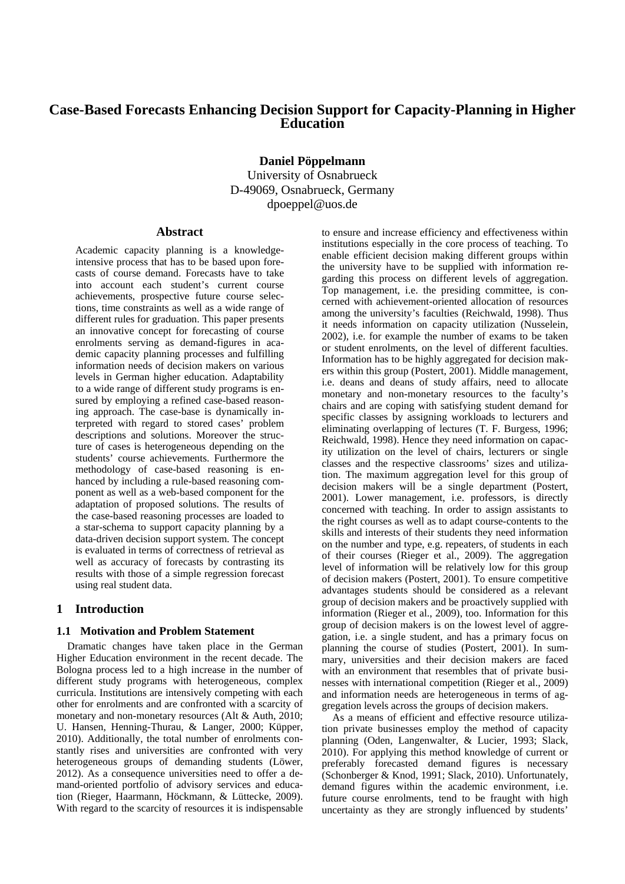# **Case-Based Forecasts Enhancing Decision Support for Capacity-Planning in Higher Education**

**Daniel Pöppelmann** University of Osnabrueck D-49069, Osnabrueck, Germany dpoeppel@uos.de

### **Abstract**

Academic capacity planning is a knowledgeintensive process that has to be based upon forecasts of course demand. Forecasts have to take into account each student's current course achievements, prospective future course selections, time constraints as well as a wide range of different rules for graduation. This paper presents an innovative concept for forecasting of course enrolments serving as demand-figures in academic capacity planning processes and fulfilling information needs of decision makers on various levels in German higher education. Adaptability to a wide range of different study programs is ensured by employing a refined case-based reasoning approach. The case-base is dynamically interpreted with regard to stored cases' problem descriptions and solutions. Moreover the structure of cases is heterogeneous depending on the students' course achievements. Furthermore the methodology of case-based reasoning is enhanced by including a rule-based reasoning component as well as a web-based component for the adaptation of proposed solutions. The results of the case-based reasoning processes are loaded to a star-schema to support capacity planning by a data-driven decision support system. The concept is evaluated in terms of correctness of retrieval as well as accuracy of forecasts by contrasting its results with those of a simple regression forecast using real student data.

# **1 Introduction**

### **1.1 Motivation and Problem Statement**

Dramatic changes have taken place in the German Higher Education environment in the recent decade. The Bologna process led to a high increase in the number of different study programs with heterogeneous, complex curricula. Institutions are intensively competing with each other for enrolments and are confronted with a scarcity of monetary and non-monetary resources (Alt & Auth, 2010; U. Hansen, Henning-Thurau, & Langer, 2000; Küpper, 2010). Additionally, the total number of enrolments constantly rises and universities are confronted with very heterogeneous groups of demanding students (Löwer, 2012). As a consequence universities need to offer a demand-oriented portfolio of advisory services and education (Rieger, Haarmann, Höckmann, & Lüttecke, 2009). With regard to the scarcity of resources it is indispensable to ensure and increase efficiency and effectiveness within institutions especially in the core process of teaching. To enable efficient decision making different groups within the university have to be supplied with information regarding this process on different levels of aggregation. Top management, i.e. the presiding committee, is concerned with achievement-oriented allocation of resources among the university's faculties (Reichwald, 1998). Thus it needs information on capacity utilization (Nusselein, 2002), i.e. for example the number of exams to be taken or student enrolments, on the level of different faculties. Information has to be highly aggregated for decision makers within this group (Postert, 2001). Middle management, i.e. deans and deans of study affairs, need to allocate monetary and non-monetary resources to the faculty's chairs and are coping with satisfying student demand for specific classes by assigning workloads to lecturers and eliminating overlapping of lectures (T. F. Burgess, 1996; Reichwald, 1998). Hence they need information on capacity utilization on the level of chairs, lecturers or single classes and the respective classrooms' sizes and utilization. The maximum aggregation level for this group of decision makers will be a single department (Postert, 2001). Lower management, i.e. professors, is directly concerned with teaching. In order to assign assistants to the right courses as well as to adapt course-contents to the skills and interests of their students they need information on the number and type, e.g. repeaters, of students in each of their courses (Rieger et al., 2009). The aggregation level of information will be relatively low for this group of decision makers (Postert, 2001). To ensure competitive advantages students should be considered as a relevant group of decision makers and be proactively supplied with information (Rieger et al., 2009), too. Information for this group of decision makers is on the lowest level of aggregation, i.e. a single student, and has a primary focus on planning the course of studies (Postert, 2001). In summary, universities and their decision makers are faced with an environment that resembles that of private businesses with international competition (Rieger et al., 2009) and information needs are heterogeneous in terms of aggregation levels across the groups of decision makers.

As a means of efficient and effective resource utilization private businesses employ the method of capacity planning (Oden, Langenwalter, & Lucier, 1993; Slack, 2010). For applying this method knowledge of current or preferably forecasted demand figures is necessary (Schonberger & Knod, 1991; Slack, 2010). Unfortunately, demand figures within the academic environment, i.e. future course enrolments, tend to be fraught with high uncertainty as they are strongly influenced by students'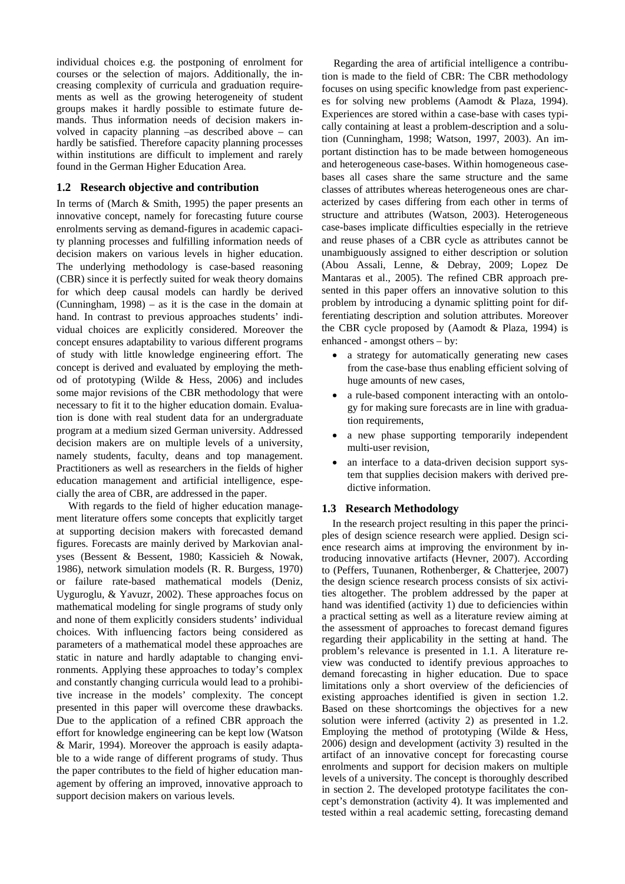individual choices e.g. the postponing of enrolment for courses or the selection of majors. Additionally, the increasing complexity of curricula and graduation requirements as well as the growing heterogeneity of student groups makes it hardly possible to estimate future demands. Thus information needs of decision makers involved in capacity planning –as described above – can hardly be satisfied. Therefore capacity planning processes within institutions are difficult to implement and rarely found in the German Higher Education Area.

# **1.2 Research objective and contribution**

In terms of (March & Smith, 1995) the paper presents an innovative concept, namely for forecasting future course enrolments serving as demand-figures in academic capacity planning processes and fulfilling information needs of decision makers on various levels in higher education. The underlying methodology is case-based reasoning (CBR) since it is perfectly suited for weak theory domains for which deep causal models can hardly be derived (Cunningham, 1998) – as it is the case in the domain at hand. In contrast to previous approaches students' individual choices are explicitly considered. Moreover the concept ensures adaptability to various different programs of study with little knowledge engineering effort. The concept is derived and evaluated by employing the method of prototyping (Wilde & Hess, 2006) and includes some major revisions of the CBR methodology that were necessary to fit it to the higher education domain. Evaluation is done with real student data for an undergraduate program at a medium sized German university. Addressed decision makers are on multiple levels of a university, namely students, faculty, deans and top management. Practitioners as well as researchers in the fields of higher education management and artificial intelligence, especially the area of CBR, are addressed in the paper.

With regards to the field of higher education management literature offers some concepts that explicitly target at supporting decision makers with forecasted demand figures. Forecasts are mainly derived by Markovian analyses (Bessent & Bessent, 1980; Kassicieh & Nowak, 1986), network simulation models (R. R. Burgess, 1970) or failure rate-based mathematical models (Deniz, Uyguroglu, & Yavuzr, 2002). These approaches focus on mathematical modeling for single programs of study only and none of them explicitly considers students' individual choices. With influencing factors being considered as parameters of a mathematical model these approaches are static in nature and hardly adaptable to changing environments. Applying these approaches to today's complex and constantly changing curricula would lead to a prohibitive increase in the models' complexity. The concept presented in this paper will overcome these drawbacks. Due to the application of a refined CBR approach the effort for knowledge engineering can be kept low (Watson & Marir, 1994). Moreover the approach is easily adaptable to a wide range of different programs of study. Thus the paper contributes to the field of higher education management by offering an improved, innovative approach to support decision makers on various levels.

Regarding the area of artificial intelligence a contribution is made to the field of CBR: The CBR methodology focuses on using specific knowledge from past experiences for solving new problems (Aamodt & Plaza, 1994). Experiences are stored within a case-base with cases typically containing at least a problem-description and a solution (Cunningham, 1998; Watson, 1997, 2003). An important distinction has to be made between homogeneous and heterogeneous case-bases. Within homogeneous casebases all cases share the same structure and the same classes of attributes whereas heterogeneous ones are characterized by cases differing from each other in terms of structure and attributes (Watson, 2003). Heterogeneous case-bases implicate difficulties especially in the retrieve and reuse phases of a CBR cycle as attributes cannot be unambiguously assigned to either description or solution (Abou Assali, Lenne, & Debray, 2009; Lopez De Mantaras et al., 2005). The refined CBR approach presented in this paper offers an innovative solution to this problem by introducing a dynamic splitting point for differentiating description and solution attributes. Moreover the CBR cycle proposed by (Aamodt & Plaza, 1994) is enhanced - amongst others – by:

- a strategy for automatically generating new cases from the case-base thus enabling efficient solving of huge amounts of new cases,
- a rule-based component interacting with an ontology for making sure forecasts are in line with graduation requirements,
- a new phase supporting temporarily independent multi-user revision,
- an interface to a data-driven decision support system that supplies decision makers with derived predictive information.

# **1.3 Research Methodology**

In the research project resulting in this paper the principles of design science research were applied. Design science research aims at improving the environment by introducing innovative artifacts (Hevner, 2007). According to (Peffers, Tuunanen, Rothenberger, & Chatterjee, 2007) the design science research process consists of six activities altogether. The problem addressed by the paper at hand was identified (activity 1) due to deficiencies within a practical setting as well as a literature review aiming at the assessment of approaches to forecast demand figures regarding their applicability in the setting at hand. The problem's relevance is presented in 1.1. A literature review was conducted to identify previous approaches to demand forecasting in higher education. Due to space limitations only a short overview of the deficiencies of existing approaches identified is given in section 1.2. Based on these shortcomings the objectives for a new solution were inferred (activity 2) as presented in 1.2. Employing the method of prototyping (Wilde  $&$  Hess, 2006) design and development (activity 3) resulted in the artifact of an innovative concept for forecasting course enrolments and support for decision makers on multiple levels of a university. The concept is thoroughly described in section 2. The developed prototype facilitates the concept's demonstration (activity 4). It was implemented and tested within a real academic setting, forecasting demand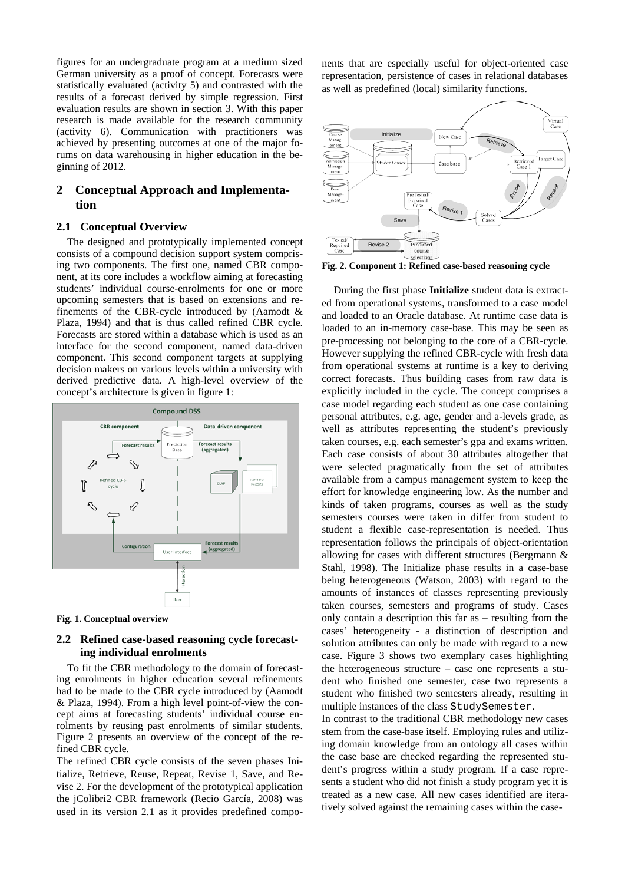figures for an undergraduate program at a medium sized German university as a proof of concept. Forecasts were statistically evaluated (activity 5) and contrasted with the results of a forecast derived by simple regression. First evaluation results are shown in section 3. With this paper research is made available for the research community (activity 6). Communication with practitioners was achieved by presenting outcomes at one of the major forums on data warehousing in higher education in the beginning of 2012.

# **2 Conceptual Approach and Implementation**

# **2.1 Conceptual Overview**

The designed and prototypically implemented concept consists of a compound decision support system comprising two components. The first one, named CBR component, at its core includes a workflow aiming at forecasting students' individual course-enrolments for one or more upcoming semesters that is based on extensions and refinements of the CBR-cycle introduced by (Aamodt & Plaza, 1994) and that is thus called refined CBR cycle. Forecasts are stored within a database which is used as an interface for the second component, named data-driven component. This second component targets at supplying decision makers on various levels within a university with derived predictive data. A high-level overview of the concept's architecture is given in figure 1:



#### **Fig. 1. Conceptual overview**

# **2.2 Refined case-based reasoning cycle forecasting individual enrolments**

To fit the CBR methodology to the domain of forecasting enrolments in higher education several refinements had to be made to the CBR cycle introduced by (Aamodt & Plaza, 1994). From a high level point-of-view the concept aims at forecasting students' individual course enrolments by reusing past enrolments of similar students. Figure 2 presents an overview of the concept of the refined CBR cycle.

The refined CBR cycle consists of the seven phases Initialize, Retrieve, Reuse, Repeat, Revise 1, Save, and Revise 2. For the development of the prototypical application the jColibri2 CBR framework (Recio García, 2008) was used in its version 2.1 as it provides predefined compo-

nents that are especially useful for object-oriented case representation, persistence of cases in relational databases as well as predefined (local) similarity functions.



**Fig. 2. Component 1: Refined case-based reasoning cycle**

During the first phase **Initialize** student data is extracted from operational systems, transformed to a case model and loaded to an Oracle database. At runtime case data is loaded to an in-memory case-base. This may be seen as pre-processing not belonging to the core of a CBR-cycle. However supplying the refined CBR-cycle with fresh data from operational systems at runtime is a key to deriving correct forecasts. Thus building cases from raw data is explicitly included in the cycle. The concept comprises a case model regarding each student as one case containing personal attributes, e.g. age, gender and a-levels grade, as well as attributes representing the student's previously taken courses, e.g. each semester's gpa and exams written. Each case consists of about 30 attributes altogether that were selected pragmatically from the set of attributes available from a campus management system to keep the effort for knowledge engineering low. As the number and kinds of taken programs, courses as well as the study semesters courses were taken in differ from student to student a flexible case-representation is needed. Thus representation follows the principals of object-orientation allowing for cases with different structures (Bergmann & Stahl, 1998). The Initialize phase results in a case-base being heterogeneous (Watson, 2003) with regard to the amounts of instances of classes representing previously taken courses, semesters and programs of study. Cases only contain a description this far as – resulting from the cases' heterogeneity - a distinction of description and solution attributes can only be made with regard to a new case. Figure 3 shows two exemplary cases highlighting the heterogeneous structure – case one represents a student who finished one semester, case two represents a student who finished two semesters already, resulting in multiple instances of the class StudySemester.

In contrast to the traditional CBR methodology new cases stem from the case-base itself. Employing rules and utilizing domain knowledge from an ontology all cases within the case base are checked regarding the represented student's progress within a study program. If a case represents a student who did not finish a study program yet it is treated as a new case. All new cases identified are iteratively solved against the remaining cases within the case-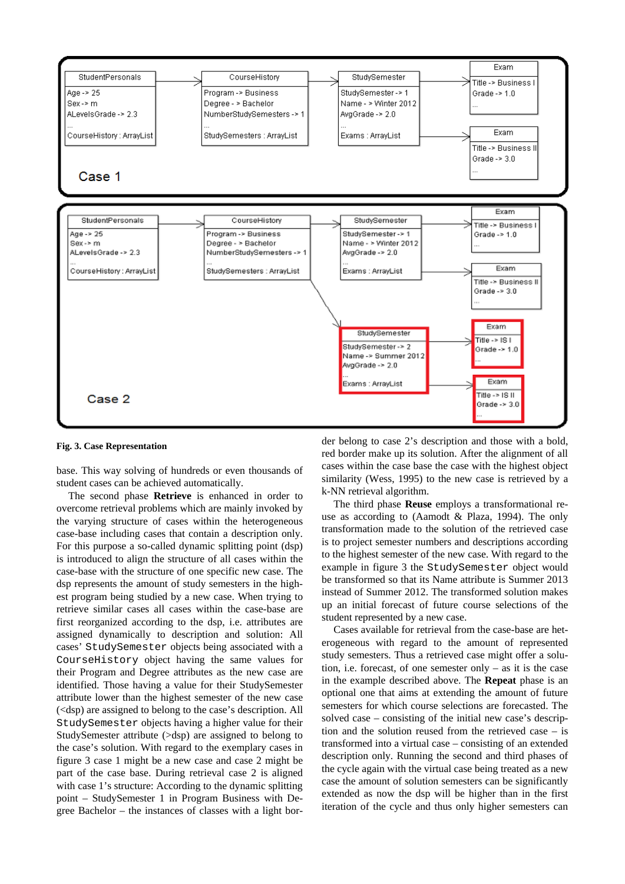

#### **Fig. 3. Case Representation**

base. This way solving of hundreds or even thousands of student cases can be achieved automatically.

The second phase **Retrieve** is enhanced in order to overcome retrieval problems which are mainly invoked by the varying structure of cases within the heterogeneous case-base including cases that contain a description only. For this purpose a so-called dynamic splitting point (dsp) is introduced to align the structure of all cases within the case-base with the structure of one specific new case. The dsp represents the amount of study semesters in the highest program being studied by a new case. When trying to retrieve similar cases all cases within the case-base are first reorganized according to the dsp, i.e. attributes are assigned dynamically to description and solution: All cases' StudySemester objects being associated with a CourseHistory object having the same values for their Program and Degree attributes as the new case are identified. Those having a value for their StudySemester attribute lower than the highest semester of the new case (<dsp) are assigned to belong to the case's description. All StudySemester objects having a higher value for their StudySemester attribute (>dsp) are assigned to belong to the case's solution. With regard to the exemplary cases in figure 3 case 1 might be a new case and case 2 might be part of the case base. During retrieval case 2 is aligned with case 1's structure: According to the dynamic splitting point – StudySemester 1 in Program Business with Degree Bachelor – the instances of classes with a light bor-

der belong to case 2's description and those with a bold, red border make up its solution. After the alignment of all cases within the case base the case with the highest object similarity (Wess, 1995) to the new case is retrieved by a k-NN retrieval algorithm.

The third phase **Reuse** employs a transformational reuse as according to (Aamodt & Plaza, 1994). The only transformation made to the solution of the retrieved case is to project semester numbers and descriptions according to the highest semester of the new case. With regard to the example in figure 3 the StudySemester object would be transformed so that its Name attribute is Summer 2013 instead of Summer 2012. The transformed solution makes up an initial forecast of future course selections of the student represented by a new case.

Cases available for retrieval from the case-base are heterogeneous with regard to the amount of represented study semesters. Thus a retrieved case might offer a solution, i.e. forecast, of one semester only – as it is the case in the example described above. The **Repeat** phase is an optional one that aims at extending the amount of future semesters for which course selections are forecasted. The solved case – consisting of the initial new case's description and the solution reused from the retrieved case – is transformed into a virtual case – consisting of an extended description only. Running the second and third phases of the cycle again with the virtual case being treated as a new case the amount of solution semesters can be significantly extended as now the dsp will be higher than in the first iteration of the cycle and thus only higher semesters can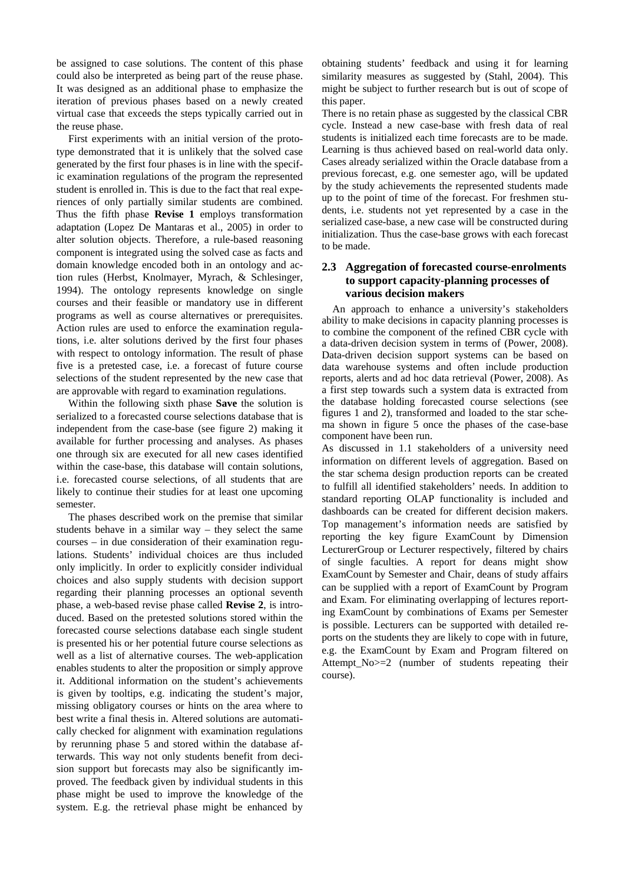be assigned to case solutions. The content of this phase could also be interpreted as being part of the reuse phase. It was designed as an additional phase to emphasize the iteration of previous phases based on a newly created virtual case that exceeds the steps typically carried out in the reuse phase.

First experiments with an initial version of the prototype demonstrated that it is unlikely that the solved case generated by the first four phases is in line with the specific examination regulations of the program the represented student is enrolled in. This is due to the fact that real experiences of only partially similar students are combined. Thus the fifth phase **Revise 1** employs transformation adaptation (Lopez De Mantaras et al., 2005) in order to alter solution objects. Therefore, a rule-based reasoning component is integrated using the solved case as facts and domain knowledge encoded both in an ontology and action rules (Herbst, Knolmayer, Myrach, & Schlesinger, 1994). The ontology represents knowledge on single courses and their feasible or mandatory use in different programs as well as course alternatives or prerequisites. Action rules are used to enforce the examination regulations, i.e. alter solutions derived by the first four phases with respect to ontology information. The result of phase five is a pretested case, i.e. a forecast of future course selections of the student represented by the new case that are approvable with regard to examination regulations.

Within the following sixth phase **Save** the solution is serialized to a forecasted course selections database that is independent from the case-base (see figure 2) making it available for further processing and analyses. As phases one through six are executed for all new cases identified within the case-base, this database will contain solutions. i.e. forecasted course selections, of all students that are likely to continue their studies for at least one upcoming semester.

The phases described work on the premise that similar students behave in a similar way – they select the same courses – in due consideration of their examination regulations. Students' individual choices are thus included only implicitly. In order to explicitly consider individual choices and also supply students with decision support regarding their planning processes an optional seventh phase, a web-based revise phase called **Revise 2**, is introduced. Based on the pretested solutions stored within the forecasted course selections database each single student is presented his or her potential future course selections as well as a list of alternative courses. The web-application enables students to alter the proposition or simply approve it. Additional information on the student's achievements is given by tooltips, e.g. indicating the student's major, missing obligatory courses or hints on the area where to best write a final thesis in. Altered solutions are automatically checked for alignment with examination regulations by rerunning phase 5 and stored within the database afterwards. This way not only students benefit from decision support but forecasts may also be significantly improved. The feedback given by individual students in this phase might be used to improve the knowledge of the system. E.g. the retrieval phase might be enhanced by

obtaining students' feedback and using it for learning similarity measures as suggested by (Stahl, 2004). This might be subject to further research but is out of scope of this paper.

There is no retain phase as suggested by the classical CBR cycle. Instead a new case-base with fresh data of real students is initialized each time forecasts are to be made. Learning is thus achieved based on real-world data only. Cases already serialized within the Oracle database from a previous forecast, e.g. one semester ago, will be updated by the study achievements the represented students made up to the point of time of the forecast. For freshmen students, i.e. students not yet represented by a case in the serialized case-base, a new case will be constructed during initialization. Thus the case-base grows with each forecast to be made.

# **2.3 Aggregation of forecasted course-enrolments to support capacity-planning processes of various decision makers**

An approach to enhance a university's stakeholders ability to make decisions in capacity planning processes is to combine the component of the refined CBR cycle with a data-driven decision system in terms of (Power, 2008). Data-driven decision support systems can be based on data warehouse systems and often include production reports, alerts and ad hoc data retrieval (Power, 2008). As a first step towards such a system data is extracted from the database holding forecasted course selections (see figures 1 and 2), transformed and loaded to the star schema shown in figure 5 once the phases of the case-base component have been run.

As discussed in 1.1 stakeholders of a university need information on different levels of aggregation. Based on the star schema design production reports can be created to fulfill all identified stakeholders' needs. In addition to standard reporting OLAP functionality is included and dashboards can be created for different decision makers. Top management's information needs are satisfied by reporting the key figure ExamCount by Dimension LecturerGroup or Lecturer respectively, filtered by chairs of single faculties. A report for deans might show ExamCount by Semester and Chair, deans of study affairs can be supplied with a report of ExamCount by Program and Exam. For eliminating overlapping of lectures reporting ExamCount by combinations of Exams per Semester is possible. Lecturers can be supported with detailed reports on the students they are likely to cope with in future, e.g. the ExamCount by Exam and Program filtered on Attempt  $No \ge 2$  (number of students repeating their course).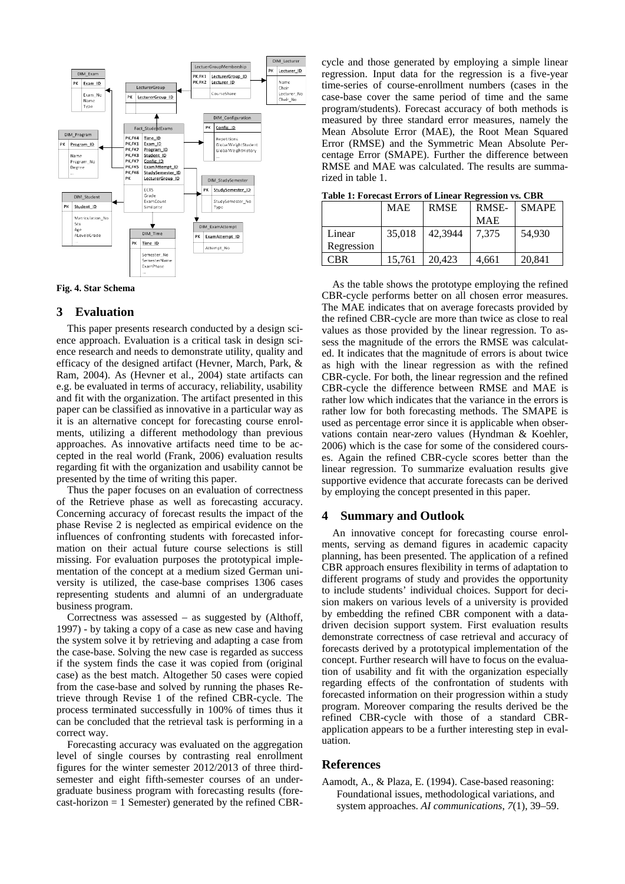



### **3 Evaluation**

This paper presents research conducted by a design science approach. Evaluation is a critical task in design science research and needs to demonstrate utility, quality and efficacy of the designed artifact (Hevner, March, Park, & Ram, 2004). As (Hevner et al., 2004) state artifacts can e.g. be evaluated in terms of accuracy, reliability, usability and fit with the organization. The artifact presented in this paper can be classified as innovative in a particular way as it is an alternative concept for forecasting course enrolments, utilizing a different methodology than previous approaches. As innovative artifacts need time to be accepted in the real world (Frank, 2006) evaluation results regarding fit with the organization and usability cannot be presented by the time of writing this paper.

Thus the paper focuses on an evaluation of correctness of the Retrieve phase as well as forecasting accuracy. Concerning accuracy of forecast results the impact of the phase Revise 2 is neglected as empirical evidence on the influences of confronting students with forecasted information on their actual future course selections is still missing. For evaluation purposes the prototypical implementation of the concept at a medium sized German university is utilized, the case-base comprises 1306 cases representing students and alumni of an undergraduate business program.

Correctness was assessed – as suggested by (Althoff, 1997) - by taking a copy of a case as new case and having the system solve it by retrieving and adapting a case from the case-base. Solving the new case is regarded as success if the system finds the case it was copied from (original case) as the best match. Altogether 50 cases were copied from the case-base and solved by running the phases Retrieve through Revise 1 of the refined CBR-cycle. The process terminated successfully in 100% of times thus it can be concluded that the retrieval task is performing in a correct way.

Forecasting accuracy was evaluated on the aggregation level of single courses by contrasting real enrollment figures for the winter semester 2012/2013 of three thirdsemester and eight fifth-semester courses of an undergraduate business program with forecasting results (fore $cast-horizon = 1$  Semester) generated by the refined CBR-

cycle and those generated by employing a simple linear regression. Input data for the regression is a five-year time-series of course-enrollment numbers (cases in the case-base cover the same period of time and the same program/students). Forecast accuracy of both methods is measured by three standard error measures, namely the Mean Absolute Error (MAE), the Root Mean Squared Error (RMSE) and the Symmetric Mean Absolute Percentage Error (SMAPE). Further the difference between RMSE and MAE was calculated. The results are summarized in table 1.

| Table 1. Fulctast Elluls of Lineal Regiession vs. CDR |            |             |            |              |
|-------------------------------------------------------|------------|-------------|------------|--------------|
|                                                       | <b>MAE</b> | <b>RMSE</b> | RMSE-      | <b>SMAPE</b> |
|                                                       |            |             | <b>MAE</b> |              |
| Linear                                                | 35,018     | 42,3944     | 7.375      | 54,930       |
| Regression                                            |            |             |            |              |
| <b>CBR</b>                                            | 15,761     | 20,423      | 4,661      | 20,841       |

**Table 1: Forecast Errors of Linear Regression vs. CBR**

As the table shows the prototype employing the refined CBR-cycle performs better on all chosen error measures. The MAE indicates that on average forecasts provided by the refined CBR-cycle are more than twice as close to real values as those provided by the linear regression. To assess the magnitude of the errors the RMSE was calculated. It indicates that the magnitude of errors is about twice as high with the linear regression as with the refined CBR-cycle. For both, the linear regression and the refined CBR-cycle the difference between RMSE and MAE is rather low which indicates that the variance in the errors is rather low for both forecasting methods. The SMAPE is used as percentage error since it is applicable when observations contain near-zero values (Hyndman & Koehler, 2006) which is the case for some of the considered courses. Again the refined CBR-cycle scores better than the linear regression. To summarize evaluation results give supportive evidence that accurate forecasts can be derived by employing the concept presented in this paper.

### **4 Summary and Outlook**

An innovative concept for forecasting course enrolments, serving as demand figures in academic capacity planning, has been presented. The application of a refined CBR approach ensures flexibility in terms of adaptation to different programs of study and provides the opportunity to include students' individual choices. Support for decision makers on various levels of a university is provided by embedding the refined CBR component with a datadriven decision support system. First evaluation results demonstrate correctness of case retrieval and accuracy of forecasts derived by a prototypical implementation of the concept. Further research will have to focus on the evaluation of usability and fit with the organization especially regarding effects of the confrontation of students with forecasted information on their progression within a study program. Moreover comparing the results derived be the refined CBR-cycle with those of a standard CBRapplication appears to be a further interesting step in evaluation.

### **References**

Aamodt, A., & Plaza, E. (1994). Case-based reasoning: Foundational issues, methodological variations, and system approaches. *AI communications*, *7*(1), 39–59.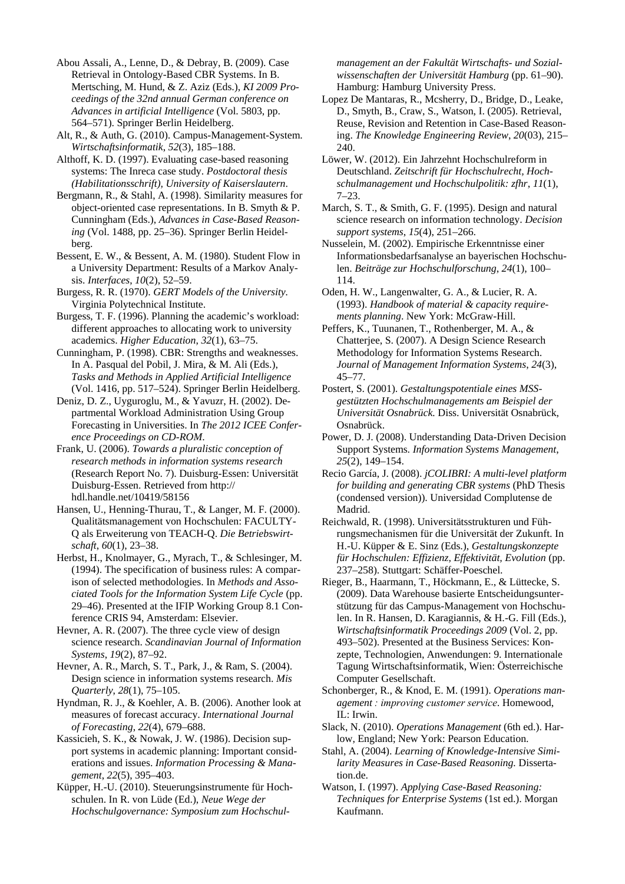Abou Assali, A., Lenne, D., & Debray, B. (2009). Case Retrieval in Ontology-Based CBR Systems. In B. Mertsching, M. Hund, & Z. Aziz (Eds.), *KI 2009 Proceedings of the 32nd annual German conference on Advances in artificial Intelligence* (Vol. 5803, pp. 564–571). Springer Berlin Heidelberg.

Alt, R., & Auth, G. (2010). Campus-Management-System. *Wirtschaftsinformatik*, *52*(3), 185–188.

Althoff, K. D. (1997). Evaluating case-based reasoning systems: The Inreca case study. *Postdoctoral thesis (Habilitationsschrift), University of Kaiserslautern*.

Bergmann, R., & Stahl, A. (1998). Similarity measures for object-oriented case representations. In B. Smyth & P. Cunningham (Eds.), *Advances in Case-Based Reasoning* (Vol. 1488, pp. 25–36). Springer Berlin Heidelberg.

Bessent, E. W., & Bessent, A. M. (1980). Student Flow in a University Department: Results of a Markov Analysis. *Interfaces*, *10*(2), 52–59.

Burgess, R. R. (1970). *GERT Models of the University.* Virginia Polytechnical Institute.

Burgess, T. F. (1996). Planning the academic's workload: different approaches to allocating work to university academics. *Higher Education*, *32*(1), 63–75.

Cunningham, P. (1998). CBR: Strengths and weaknesses. In A. Pasqual del Pobil, J. Mira, & M. Ali (Eds.), *Tasks and Methods in Applied Artificial Intelligence* (Vol. 1416, pp. 517–524). Springer Berlin Heidelberg.

Deniz, D. Z., Uyguroglu, M., & Yavuzr, H. (2002). Departmental Workload Administration Using Group Forecasting in Universities. In *The 2012 ICEE Conference Proceedings on CD-ROM*.

Frank, U. (2006). *Towards a pluralistic conception of research methods in information systems research* (Research Report No. 7). Duisburg-Essen: Universität Duisburg-Essen. Retrieved from http:// hdl.handle.net/10419/58156

Hansen, U., Henning-Thurau, T., & Langer, M. F. (2000). Qualitätsmanagement von Hochschulen: FACULTY-Q als Erweiterung von TEACH-Q. *Die Betriebswirtschaft*, *60*(1), 23–38.

Herbst, H., Knolmayer, G., Myrach, T., & Schlesinger, M. (1994). The specification of business rules: A comparison of selected methodologies. In *Methods and Associated Tools for the Information System Life Cycle* (pp. 29–46). Presented at the IFIP Working Group 8.1 Conference CRIS 94, Amsterdam: Elsevier.

Hevner, A. R. (2007). The three cycle view of design science research. *Scandinavian Journal of Information Systems*, *19*(2), 87–92.

Hevner, A. R., March, S. T., Park, J., & Ram, S. (2004). Design science in information systems research. *Mis Quarterly*, *28*(1), 75–105.

Hyndman, R. J., & Koehler, A. B. (2006). Another look at measures of forecast accuracy. *International Journal of Forecasting*, *22*(4), 679–688.

Kassicieh, S. K., & Nowak, J. W. (1986). Decision support systems in academic planning: Important considerations and issues. *Information Processing & Management*, *22*(5), 395–403.

Küpper, H.-U. (2010). Steuerungsinstrumente für Hochschulen. In R. von Lüde (Ed.), *Neue Wege der Hochschulgovernance: Symposium zum Hochschul-* *management an der Fakultät Wirtschafts- und Sozialwissenschaften der Universität Hamburg* (pp. 61–90). Hamburg: Hamburg University Press.

Lopez De Mantaras, R., Mcsherry, D., Bridge, D., Leake, D., Smyth, B., Craw, S., Watson, I. (2005). Retrieval, Reuse, Revision and Retention in Case-Based Reasoning. *The Knowledge Engineering Review*, *20*(03), 215– 240.

Löwer, W. (2012). Ein Jahrzehnt Hochschulreform in Deutschland. *Zeitschrift für Hochschulrecht, Hochschulmanagement und Hochschulpolitik: zfhr*, *11*(1), 7–23.

March, S. T., & Smith, G. F. (1995). Design and natural science research on information technology. *Decision support systems*, *15*(4), 251–266.

Nusselein, M. (2002). Empirische Erkenntnisse einer Informationsbedarfsanalyse an bayerischen Hochschulen. *Beiträge zur Hochschulforschung*, *24*(1), 100– 114.

Oden, H. W., Langenwalter, G. A., & Lucier, R. A. (1993). *Handbook of material & capacity requirements planning*. New York: McGraw-Hill.

Peffers, K., Tuunanen, T., Rothenberger, M. A., & Chatterjee, S. (2007). A Design Science Research Methodology for Information Systems Research. *Journal of Management Information Systems*, *24*(3), 45–77.

Postert, S. (2001). *Gestaltungspotentiale eines MSSgestützten Hochschulmanagements am Beispiel der Universität Osnabrück.* Diss. Universität Osnabrück, Osnabrück.

Power, D. J. (2008). Understanding Data-Driven Decision Support Systems. *Information Systems Management*, *25*(2), 149–154.

Recio García, J. (2008). *jCOLIBRI: A multi-level platform for building and generating CBR systems* (PhD Thesis (condensed version)). Universidad Complutense de Madrid.

Reichwald, R. (1998). Universitätsstrukturen und Führungsmechanismen für die Universität der Zukunft. In H.-U. Küpper & E. Sinz (Eds.), *Gestaltungskonzepte für Hochschulen: Effizienz, Effektivität, Evolution* (pp. 237–258). Stuttgart: Schäffer-Poeschel.

Rieger, B., Haarmann, T., Höckmann, E., & Lüttecke, S. (2009). Data Warehouse basierte Entscheidungsunterstützung für das Campus-Management von Hochschulen. In R. Hansen, D. Karagiannis, & H.-G. Fill (Eds.), *Wirtschaftsinformatik Proceedings 2009* (Vol. 2, pp. 493–502). Presented at the Business Services: Konzepte, Technologien, Anwendungen: 9. Internationale Tagung Wirtschaftsinformatik, Wien: Österreichische Computer Gesellschaft.

Schonberger, R., & Knod, E. M. (1991). *Operations management : improving customer service*. Homewood, IL: Irwin.

Slack, N. (2010). *Operations Management* (6th ed.). Harlow, England; New York: Pearson Education.

Stahl, A. (2004). *Learning of Knowledge-Intensive Similarity Measures in Case-Based Reasoning.* Dissertation.de.

Watson, I. (1997). *Applying Case-Based Reasoning: Techniques for Enterprise Systems* (1st ed.). Morgan Kaufmann.